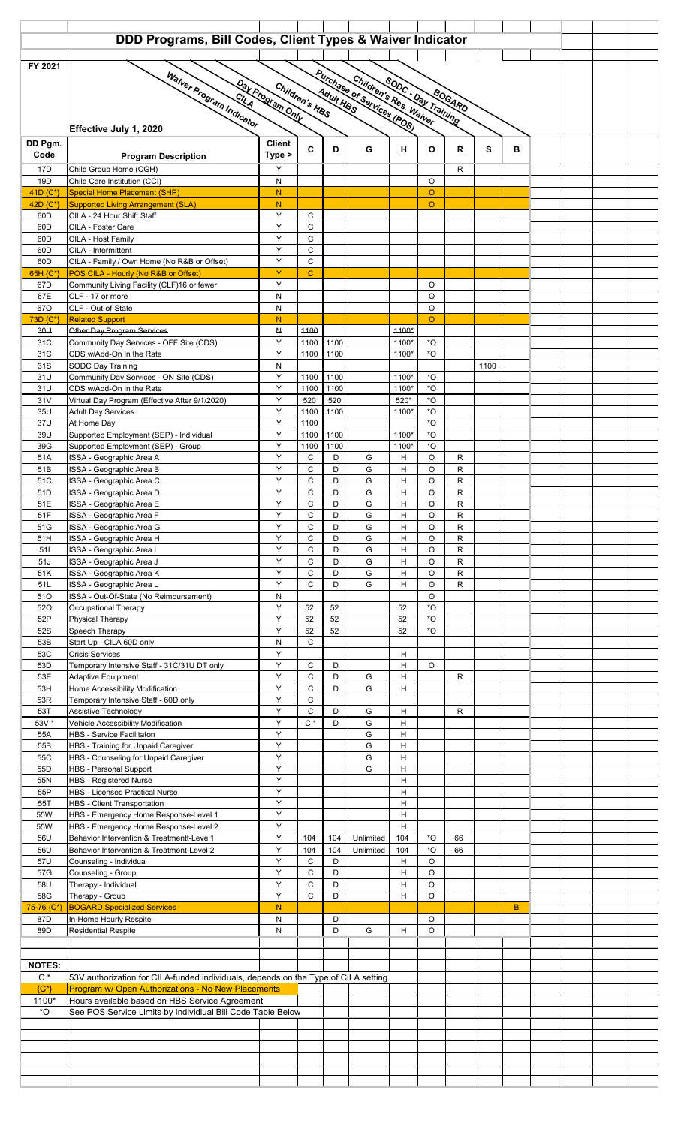|                                    | DDD Programs, Bill Codes, Client Types & Waiver Indicator                                                                                                     |                |                      |          |           |                  |                                        |                           |      |    |  |  |  |  |
|------------------------------------|---------------------------------------------------------------------------------------------------------------------------------------------------------------|----------------|----------------------|----------|-----------|------------------|----------------------------------------|---------------------------|------|----|--|--|--|--|
| FY 2021                            |                                                                                                                                                               |                |                      |          |           |                  |                                        |                           |      |    |  |  |  |  |
|                                    |                                                                                                                                                               |                |                      |          |           |                  |                                        |                           |      |    |  |  |  |  |
|                                    | Purchase of Services (POS)<br>Waiver Program Indicator<br>Children's Res. Waiver<br><b>SODC: Day Training</b><br>Day Program Only<br>Children's HBS<br>BOGARD |                |                      |          |           |                  |                                        |                           |      |    |  |  |  |  |
|                                    |                                                                                                                                                               |                |                      |          |           |                  |                                        |                           |      |    |  |  |  |  |
|                                    | Effective July 1, 2020                                                                                                                                        |                |                      |          |           |                  |                                        |                           |      |    |  |  |  |  |
| DD Pgm.                            |                                                                                                                                                               | <b>Client</b>  |                      |          |           |                  |                                        |                           |      |    |  |  |  |  |
| Code                               | <b>Program Description</b>                                                                                                                                    | Type >         | C                    | D        | G         | н                | O                                      | R                         | s    | в  |  |  |  |  |
| 17D                                | Child Group Home (CGH)                                                                                                                                        | Y              |                      |          |           |                  |                                        | R                         |      |    |  |  |  |  |
| 19D<br>41D {C*}                    | Child Care Institution (CCI)<br><b>Special Home Placement (SHP)</b>                                                                                           | N<br>N         |                      |          |           |                  | O<br>$\circ$                           |                           |      |    |  |  |  |  |
| 42D {C*}                           | <b>Supported Living Arrangement (SLA)</b>                                                                                                                     | ${\sf N}$      |                      |          |           |                  | $\circ$                                |                           |      |    |  |  |  |  |
| 60 <sub>D</sub>                    | CILA - 24 Hour Shift Staff                                                                                                                                    | Y              | C                    |          |           |                  |                                        |                           |      |    |  |  |  |  |
| 60 <sub>D</sub><br>60 <sub>D</sub> | CILA - Foster Care<br>CILA - Host Family                                                                                                                      | Y<br>Y         | C<br>C               |          |           |                  |                                        |                           |      |    |  |  |  |  |
| 60 <sub>D</sub>                    | CILA - Intermittent                                                                                                                                           | Y              | C                    |          |           |                  |                                        |                           |      |    |  |  |  |  |
| 60D                                | CILA - Family / Own Home (No R&B or Offset)                                                                                                                   | Y              | C                    |          |           |                  |                                        |                           |      |    |  |  |  |  |
| 65H $\{C^*\}$<br>67D               | POS CILA - Hourly (No R&B or Offset)<br>Community Living Facility (CLF)16 or fewer                                                                            | Y<br>Y         | $\mathbf C$          |          |           |                  | O                                      |                           |      |    |  |  |  |  |
| 67E                                | CLF - 17 or more                                                                                                                                              | N              |                      |          |           |                  | O                                      |                           |      |    |  |  |  |  |
| 67O                                | CLF - Out-of-State                                                                                                                                            | N              |                      |          |           |                  | O                                      |                           |      |    |  |  |  |  |
| 73D {C*}<br>30 <sub>U</sub>        | <b>Related Support</b><br>Other Day Program Services                                                                                                          | N<br>${\sf N}$ | 4400                 |          |           | 4400*            | $\circ$                                |                           |      |    |  |  |  |  |
| 31C                                | Community Day Services - OFF Site (CDS)                                                                                                                       | Y              | 1100                 | 1100     |           | 1100*            | *O                                     |                           |      |    |  |  |  |  |
| 31C                                | CDS w/Add-On In the Rate                                                                                                                                      | Y              | 1100                 | 1100     |           | 1100*            | $*$ O                                  |                           |      |    |  |  |  |  |
| 31S<br>31U                         | SODC Day Training<br>Community Day Services - ON Site (CDS)                                                                                                   | ${\sf N}$<br>Y | 1100                 | 1100     |           | 1100*            | *O                                     |                           | 1100 |    |  |  |  |  |
| 31U                                | CDS w/Add-On In the Rate                                                                                                                                      | Y              | 1100                 | 1100     |           | 1100*            | *O                                     |                           |      |    |  |  |  |  |
| 31V                                | Virtual Day Program (Effective After 9/1/2020)                                                                                                                | Y              | 520                  | 520      |           | 520*             | $*$ O                                  |                           |      |    |  |  |  |  |
| 35U<br>37U                         | <b>Adult Day Services</b><br>At Home Day                                                                                                                      | Y<br>Y         | 1100<br>1100         | 1100     |           | 1100*            | $^\star \text{O}$<br>$*$ O             |                           |      |    |  |  |  |  |
| 39U                                | Supported Employment (SEP) - Individual                                                                                                                       | Y              | 1100                 | 1100     |           | 1100*            | $^{\star}$ O                           |                           |      |    |  |  |  |  |
| 39G                                | Supported Employment (SEP) - Group                                                                                                                            | Y              | 1100                 | 1100     |           | 1100*            | $^{\star}$ O                           |                           |      |    |  |  |  |  |
| 51A                                | ISSA - Geographic Area A<br>ISSA - Geographic Area B                                                                                                          | Y<br>Y         | C<br>C               | D<br>D   | G<br>G    | н                | O<br>O                                 | R                         |      |    |  |  |  |  |
| 51B<br>51C                         | ISSA - Geographic Area C                                                                                                                                      | Y              | C                    | D        | G         | н<br>H           | O                                      | R<br>$\mathsf{R}$         |      |    |  |  |  |  |
| 51D                                | ISSA - Geographic Area D                                                                                                                                      | Y              | C                    | D        | G         | н                | $\circ$                                | $\mathsf{R}$              |      |    |  |  |  |  |
| 51E                                | ISSA - Geographic Area E                                                                                                                                      | Υ              | C                    | D        | G         | H                | $\circ$                                | $\mathsf{R}$              |      |    |  |  |  |  |
| 51F<br>51G                         | ISSA - Geographic Area F<br>ISSA - Geographic Area G                                                                                                          | Y<br>Υ         | C<br>С               | D<br>D   | G<br>G    | н<br>н           | O<br>O                                 | $\mathsf{R}$<br>${\sf R}$ |      |    |  |  |  |  |
| 51H                                | ISSA - Geographic Area H                                                                                                                                      | Y              | C                    | D        | G         | н                | O                                      | $\mathsf{R}$              |      |    |  |  |  |  |
| 511                                | ISSA - Geographic Area I                                                                                                                                      | Y              | C                    | D        | G         | н                | $\circ$                                | $\mathsf{R}$              |      |    |  |  |  |  |
| 51J<br>51K                         | ISSA - Geographic Area J<br>ISSA - Geographic Area K                                                                                                          | Y<br>Υ         | $\mathsf{C}$<br>C    | D<br>D   | G<br>G    | H<br>н           | $\circ$<br>O                           | $\mathsf R$<br>${\sf R}$  |      |    |  |  |  |  |
| 51L                                | ISSA - Geographic Area L                                                                                                                                      | Υ              | C                    | D        | G         | н                | $\circ$                                | $\mathsf{R}$              |      |    |  |  |  |  |
| 510                                | ISSA - Out-Of-State (No Reimbursement)                                                                                                                        | ${\sf N}$      |                      |          |           |                  | $\circ$                                |                           |      |    |  |  |  |  |
| 520<br>52P                         | Occupational Therapy<br>Physical Therapy                                                                                                                      | Y<br>Υ         | 52<br>52             | 52<br>52 |           | 52<br>52         | $^\star \text{O}$<br>$^{\star}{\rm O}$ |                           |      |    |  |  |  |  |
| 52S                                | Speech Therapy                                                                                                                                                | Y              | 52                   | 52       |           | 52               | $^{\star}{\rm O}$                      |                           |      |    |  |  |  |  |
| 53B                                | Start Up - CILA 60D only                                                                                                                                      | ${\sf N}$      | $\mathsf{C}$         |          |           |                  |                                        |                           |      |    |  |  |  |  |
| 53C                                | <b>Crisis Services</b>                                                                                                                                        | Υ              |                      |          |           | н                | O                                      |                           |      |    |  |  |  |  |
| 53D<br>53E                         | Temporary Intensive Staff - 31C/31U DT only<br>Adaptive Equipment                                                                                             | Υ<br>Y         | C<br>$\mathsf C$     | D<br>D   | G         | H<br>н           |                                        | R                         |      |    |  |  |  |  |
| 53H                                | Home Accessibility Modification                                                                                                                               | Y              | $\mathsf C$          | D        | G         | н                |                                        |                           |      |    |  |  |  |  |
| 53R                                | Temporary Intensive Staff - 60D only                                                                                                                          | Υ              | C                    |          |           |                  |                                        |                           |      |    |  |  |  |  |
| 53T<br>53V *                       | Assistive Technology<br>Vehicle Accessibility Modification                                                                                                    | Υ<br>Y         | $\mathsf C$<br>$C^*$ | D<br>D   | G<br>G    | H<br>н           |                                        | R                         |      |    |  |  |  |  |
| 55A                                | <b>HBS - Service Facilitaton</b>                                                                                                                              | Y              |                      |          | G         | H                |                                        |                           |      |    |  |  |  |  |
| 55B                                | <b>HBS - Training for Unpaid Caregiver</b>                                                                                                                    | Υ              |                      |          | G         | H                |                                        |                           |      |    |  |  |  |  |
| 55C<br>55D                         | HBS - Counseling for Unpaid Caregiver<br><b>HBS - Personal Support</b>                                                                                        | Y<br>Υ         |                      |          | G<br>G    | $\mathsf H$<br>H |                                        |                           |      |    |  |  |  |  |
| 55N                                | <b>HBS - Registered Nurse</b>                                                                                                                                 | Υ              |                      |          |           | н                |                                        |                           |      |    |  |  |  |  |
| 55P                                | <b>HBS - Licensed Practical Nurse</b>                                                                                                                         | Υ              |                      |          |           | н                |                                        |                           |      |    |  |  |  |  |
| 55T<br>55W                         | <b>HBS - Client Transportation</b><br>HBS - Emergency Home Response-Level 1                                                                                   | Y<br>Y         |                      |          |           | н<br>н           |                                        |                           |      |    |  |  |  |  |
| 55W                                | HBS - Emergency Home Response-Level 2                                                                                                                         | Υ              |                      |          |           | н                |                                        |                           |      |    |  |  |  |  |
| 56U                                | Behavior Intervention & Treatmentt-Level1                                                                                                                     | Υ              | 104                  | 104      | Unlimited | 104              | *O                                     | 66                        |      |    |  |  |  |  |
| 56U                                | Behavior Intervention & Treatment-Level 2                                                                                                                     | Y<br>Υ         | 104                  | 104      | Unlimited | 104              | $^{\star}{\rm O}$                      | 66                        |      |    |  |  |  |  |
| 57U<br>57G                         | Counseling - Individual<br>Counseling - Group                                                                                                                 | Y              | C<br>C               | D<br>D   |           | н<br>н           | O<br>O                                 |                           |      |    |  |  |  |  |
| 58U                                | Therapy - Individual                                                                                                                                          | Y              | $\mathsf C$          | D        |           | н                | $\circ$                                |                           |      |    |  |  |  |  |
| 58G                                | Therapy - Group                                                                                                                                               | Υ              | $\mathsf C$          | D        |           | н                | $\circ$                                |                           |      |    |  |  |  |  |
| 75-76 {C*}<br>87D                  | <b>BOGARD Specialized Services</b><br>In-Home Hourly Respite                                                                                                  | ${\sf N}$<br>N |                      | D        |           |                  | O                                      |                           |      | B. |  |  |  |  |
| 89D                                | <b>Residential Respite</b>                                                                                                                                    | ${\sf N}$      |                      | D        | G         | H                | $\circ$                                |                           |      |    |  |  |  |  |
|                                    |                                                                                                                                                               |                |                      |          |           |                  |                                        |                           |      |    |  |  |  |  |
| <b>NOTES:</b>                      |                                                                                                                                                               |                |                      |          |           |                  |                                        |                           |      |    |  |  |  |  |
| $\mathrm{C}$ $^{\star}$            | 53V authorization for CILA-funded individuals, depends on the Type of CILA setting.                                                                           |                |                      |          |           |                  |                                        |                           |      |    |  |  |  |  |
| ${C^*}$                            | Program w/ Open Authorizations - No New Placements                                                                                                            |                |                      |          |           |                  |                                        |                           |      |    |  |  |  |  |
| 1100*<br>*O                        | Hours available based on HBS Service Agreement<br>See POS Service Limits by Individiual Bill Code Table Below                                                 |                |                      |          |           |                  |                                        |                           |      |    |  |  |  |  |
|                                    |                                                                                                                                                               |                |                      |          |           |                  |                                        |                           |      |    |  |  |  |  |
|                                    |                                                                                                                                                               |                |                      |          |           |                  |                                        |                           |      |    |  |  |  |  |
|                                    |                                                                                                                                                               |                |                      |          |           |                  |                                        |                           |      |    |  |  |  |  |
|                                    |                                                                                                                                                               |                |                      |          |           |                  |                                        |                           |      |    |  |  |  |  |
|                                    |                                                                                                                                                               |                |                      |          |           |                  |                                        |                           |      |    |  |  |  |  |